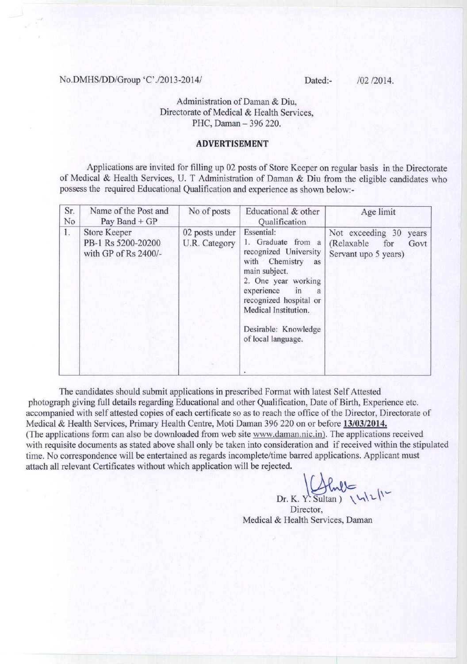#### No.DMHS/DD/Group 'C'./2013-2014/ Dated:- /02 /2014.

**Administration of Daman & Diu, Directorate** of Medical & **Health Services,** PHC, Daman - 396 220.

### **ADVERTISEMENT**

Applications are invited for filling up 02 posts of Store Keeper on regular basis in the Directorate of Medical & Health Services, U. T Administration of Daman & Diu from the eligible candidates who possess the required Educational Qualification and experience as shown below:-

| Sr.<br>No | Name of the Post and<br>Pay Band $+GP$                            | No of posts                     | Educational & other<br>Qualification                                                                                                                                                                                                            | Age limit                                                                      |
|-----------|-------------------------------------------------------------------|---------------------------------|-------------------------------------------------------------------------------------------------------------------------------------------------------------------------------------------------------------------------------------------------|--------------------------------------------------------------------------------|
| 1.        | <b>Store Keeper</b><br>PB-1 Rs 5200-20200<br>with GP of Rs 2400/- | 02 posts under<br>U.R. Category | Essential:<br>1. Graduate from a<br>recognized University<br>with Chemistry as<br>main subject.<br>2. One year working<br>experience<br>in<br>a<br>recognized hospital or<br>Medical Institution.<br>Desirable: Knowledge<br>of local language. | Not exceeding 30<br>years<br>(Relaxable<br>for<br>Govt<br>Servant upo 5 years) |

The candidates should submit applications in prescribed Format with latest Self Attested photograph giving full details regarding Educational and other Qualification, Date of Birth, Experience etc. accompanied with self attested copies of each certificate so as to reach the office of the Director, Directorate of Medical & Health Services, Primary Health Centre, Moti Daman 396 220 on or before **13/03/2014.** (The applications form can also be downloaded from web site www.daman.nic.in). The applications received with requisite documents as stated above shall only be taken into consideration and if received within the stipulated time. No correspondence will be entertained as regards incomplete/time barred applications. Applicant must attach all relevant Certificates without which application will be rejected.

Dr. K. Y. Sultan)  $\bigcup_{\text{L}}\bigcup_{\text{L}}\bigcup_{\text{L}}$ 

Director, Medical & Health Services, Daman